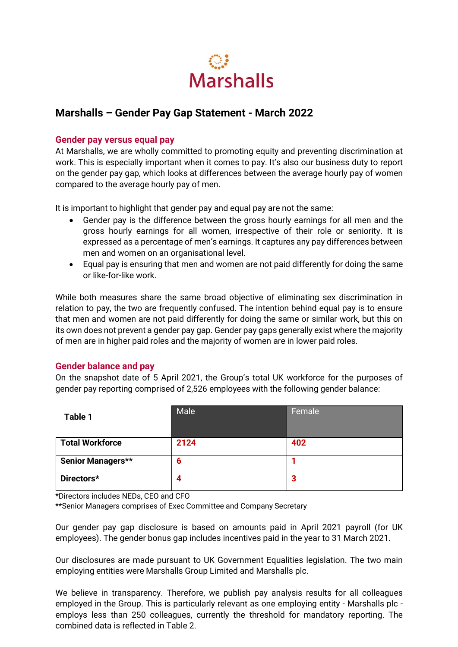

## **Marshalls – Gender Pay Gap Statement - March 2022**

## **Gender pay versus equal pay**

At Marshalls, we are wholly committed to promoting equity and preventing discrimination at work. This is especially important when it comes to pay. It's also our business duty to report on the gender pay gap, which looks at differences between the average hourly pay of women compared to the average hourly pay of men.

It is important to highlight that gender pay and equal pay are not the same:

- Gender pay is the difference between the gross hourly earnings for all men and the gross hourly earnings for all women, irrespective of their role or seniority. It is expressed as a percentage of men's earnings. It captures any pay differences between men and women on an organisational level.
- Equal pay is ensuring that men and women are not paid differently for doing the same or like-for-like work.

While both measures share the same broad objective of eliminating sex discrimination in relation to pay, the two are frequently confused. The intention behind equal pay is to ensure that men and women are not paid differently for doing the same or similar work, but this on its own does not prevent a gender pay gap. Gender pay gaps generally exist where the majority of men are in higher paid roles and the majority of women are in lower paid roles.

## **Gender balance and pay**

On the snapshot date of 5 April 2021, the Group's total UK workforce for the purposes of gender pay reporting comprised of 2,526 employees with the following gender balance:

| Table 1                  | Male | Female |
|--------------------------|------|--------|
| <b>Total Workforce</b>   | 2124 | 402    |
| <b>Senior Managers**</b> | 6    |        |
| Directors*               | 4    | 3      |

\*Directors includes NEDs, CEO and CFO

\*\*Senior Managers comprises of Exec Committee and Company Secretary

Our gender pay gap disclosure is based on amounts paid in April 2021 payroll (for UK employees). The gender bonus gap includes incentives paid in the year to 31 March 2021.

Our disclosures are made pursuant to UK Government Equalities legislation. The two main employing entities were Marshalls Group Limited and Marshalls plc.

We believe in transparency. Therefore, we publish pay analysis results for all colleagues employed in the Group. This is particularly relevant as one employing entity - Marshalls plc employs less than 250 colleagues, currently the threshold for mandatory reporting. The combined data is reflected in Table 2.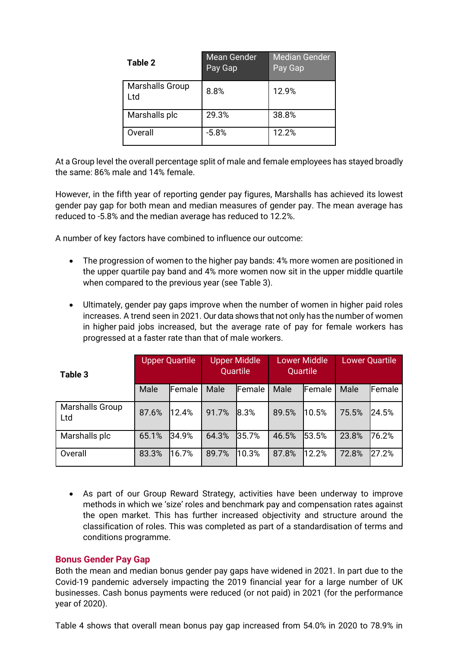| Table 2                       | <b>Mean Gender</b><br>Pay Gap | <b>Median Gender</b><br>Pay Gap |
|-------------------------------|-------------------------------|---------------------------------|
| <b>Marshalls Group</b><br>Ltd | 8.8%                          | 12.9%                           |
| Marshalls plc                 | 29.3%                         | 38.8%                           |
| Overall                       | $-5.8%$                       | 12.2%                           |

At a Group level the overall percentage split of male and female employees has stayed broadly the same: 86% male and 14% female.

However, in the fifth year of reporting gender pay figures, Marshalls has achieved its lowest gender pay gap for both mean and median measures of gender pay. The mean average has reduced to -5.8% and the median average has reduced to 12.2%.

A number of key factors have combined to influence our outcome:

- The progression of women to the higher pay bands: 4% more women are positioned in the upper quartile pay band and 4% more women now sit in the upper middle quartile when compared to the previous year (see Table 3).
- Ultimately, gender pay gaps improve when the number of women in higher paid roles increases. A trend seen in 2021. Our data shows that not only has the number of women in higher paid jobs increased, but the average rate of pay for female workers has progressed at a faster rate than that of male workers.

| Table 3                       |       | <b>Upper Quartile</b> | <b>Upper Middle</b><br>Quartile |                | <b>Lower Middle</b><br>Quartile |                | <b>Lower Quartile</b> |               |
|-------------------------------|-------|-----------------------|---------------------------------|----------------|---------------------------------|----------------|-----------------------|---------------|
|                               | Male  | <b>Female</b>         | Male                            | <b>IFemale</b> | Male                            | <b>IFemale</b> | Male                  | <b>Female</b> |
| <b>Marshalls Group</b><br>Ltd | 87.6% | 12.4%                 | 91.7%                           | 18.3%          | 89.5%                           | 10.5%          | 75.5%                 | 24.5%         |
| Marshalls plc                 | 65.1% | 34.9%                 | 64.3%                           | 35.7%          | 46.5%                           | 53.5%          | 23.8%                 | 76.2%         |
| Overall                       | 83.3% | 16.7%                 | 89.7%                           | 10.3%          | 87.8%                           | 12.2%          | 72.8%                 | 27.2%         |

• As part of our Group Reward Strategy, activities have been underway to improve methods in which we 'size' roles and benchmark pay and compensation rates against the open market. This has further increased objectivity and structure around the classification of roles. This was completed as part of a standardisation of terms and conditions programme.

## **Bonus Gender Pay Gap**

Both the mean and median bonus gender pay gaps have widened in 2021. In part due to the Covid-19 pandemic adversely impacting the 2019 financial year for a large number of UK businesses. Cash bonus payments were reduced (or not paid) in 2021 (for the performance year of 2020).

Table 4 shows that overall mean bonus pay gap increased from 54.0% in 2020 to 78.9% in